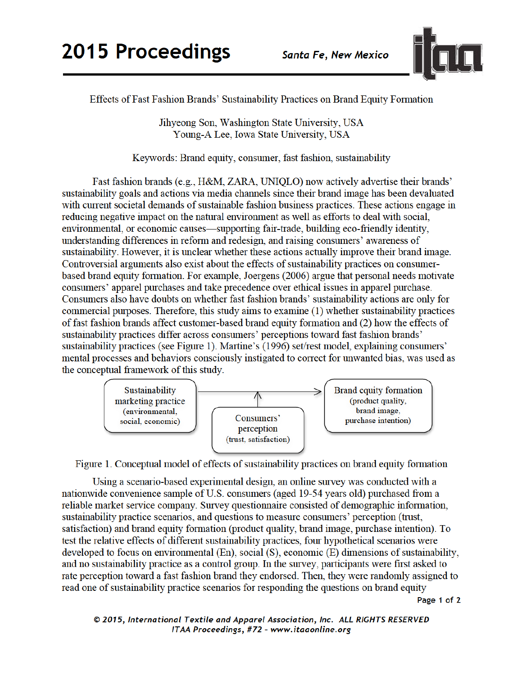

Effects of Fast Fashion Brands' Sustainability Practices on Brand Equity Formation

Jihyeong Son, Washington State University, USA Young-A Lee, Iowa State University, USA

Keywords: Brand equity, consumer, fast fashion, sustainability

Fast fashion brands (e.g., H&M, ZARA, UNIQLO) now actively advertise their brands' sustainability goals and actions via media channels since their brand image has been devaluated with current societal demands of sustainable fashion business practices. These actions engage in reducing negative impact on the natural environment as well as efforts to deal with social, environmental, or economic causes—supporting fair-trade, building eco-friendly identity, understanding differences in reform and redesign, and raising consumers' awareness of sustainability. However, it is unclear whether these actions actually improve their brand image. Controversial arguments also exist about the effects of sustainability practices on consumerbased brand equity formation. For example, Joergens (2006) argue that personal needs motivate consumers' apparel purchases and take precedence over ethical issues in apparel purchase. Consumers also have doubts on whether fast fashion brands' sustainability actions are only for commercial purposes. Therefore, this study aims to examine (1) whether sustainability practices of fast fashion brands affect customer-based brand equity formation and (2) how the effects of sustainability practices differ across consumers' perceptions toward fast fashion brands' sustainability practices (see Figure 1). Martine's (1996) set/rest model, explaining consumers' mental processes and behaviors consciously instigated to correct for unwanted bias, was used as the conceptual framework of this study.



Figure 1. Conceptual model of effects of sustainability practices on brand equity formation

Using a scenario-based experimental design, an online survey was conducted with a nationwide convenience sample of U.S. consumers (aged 19-54 years old) purchased from a reliable market service company. Survey questionnaire consisted of demographic information, sustainability practice scenarios, and questions to measure consumers' perception (trust, satisfaction) and brand equity formation (product quality, brand image, purchase intention). To test the relative effects of different sustainability practices, four hypothetical scenarios were developed to focus on environmental (En), social (S), economic (E) dimensions of sustainability, and no sustainability practice as a control group. In the survey, participants were first asked to rate perception toward a fast fashion brand they endorsed. Then, they were randomly assigned to read one of sustainability practice scenarios for responding the questions on brand equity

Page 1 of 2

© 2015, International Textile and Apparel Association, Inc. ALL RIGHTS RESERVED ITAA Proceedings, #72 – www.itaaonline.org